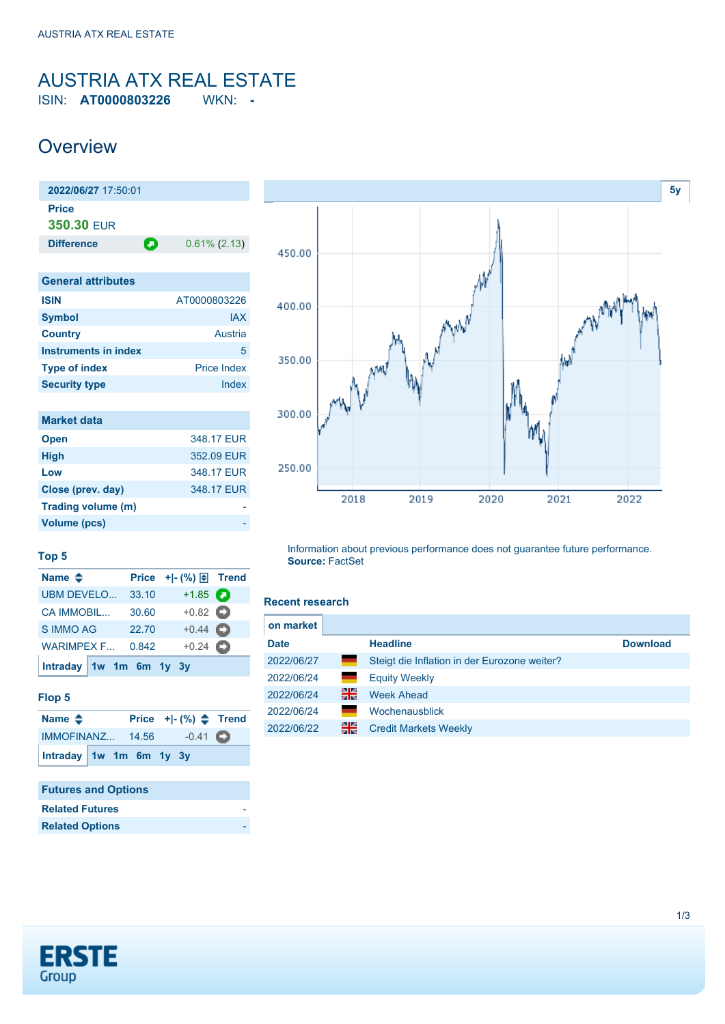### <span id="page-0-0"></span>AUSTRIA ATX REAL ESTATE ISIN: **AT0000803226** WKN: **-**

## **Overview**

| 2022/06/27 17:50:01               |   |                 |
|-----------------------------------|---|-----------------|
| <b>Price</b><br><b>350.30 EUR</b> |   |                 |
| <b>Difference</b>                 | о | $0.61\%$ (2.13) |
|                                   |   |                 |
| <b>General attributes</b>         |   |                 |
| -----                             |   |                 |

| <b>ISIN</b>          | AT0000803226       |
|----------------------|--------------------|
| <b>Symbol</b>        | <b>IAX</b>         |
| <b>Country</b>       | Austria            |
| Instruments in index | 5                  |
| <b>Type of index</b> | <b>Price Index</b> |
| <b>Security type</b> | Index              |

| <b>Market data</b> |            |
|--------------------|------------|
| <b>Open</b>        | 348.17 EUR |
| <b>High</b>        | 352.09 EUR |
| Low                | 348.17 EUR |
| Close (prev. day)  | 348.17 EUR |
| Trading volume (m) |            |
| Volume (pcs)       |            |



### **Top 5**

| Name $\triangle$          |       | Price $+$ $\mid$ - $\left(\frac{9}{6}\right)$ $\right$ Trend |    |
|---------------------------|-------|--------------------------------------------------------------|----|
| UBM DEVELO                | 33.10 | $+1.85$ $\bullet$                                            |    |
| <b>CA IMMOBIL</b>         | 30.60 | $+0.82$ $\bullet$                                            |    |
| <b>S IMMO AG</b>          | 22.70 | $+0.44$ $\bullet$                                            |    |
| WARIMPEX F                | 0.842 | $+0.24$                                                      | сэ |
| Intraday $1w$ 1m 6m 1y 3y |       |                                                              |    |

#### **Flop 5**

| Name $\triangle$        |  |  | Price $+[-(%) \triangle$ Trend |  |
|-------------------------|--|--|--------------------------------|--|
| IMMOFINANZ 14.56        |  |  | $-0.41$ $\bullet$              |  |
| Intraday 1w 1m 6m 1y 3y |  |  |                                |  |

### **Futures and Options Related Futures Related Options**

Information about previous performance does not guarantee future performance. **Source:** FactSet

#### **Recent research**

| on market   |    |                                              |                 |
|-------------|----|----------------------------------------------|-----------------|
| <b>Date</b> |    | <b>Headline</b>                              | <b>Download</b> |
| 2022/06/27  | ٠  | Steigt die Inflation in der Eurozone weiter? |                 |
| 2022/06/24  |    | <b>Equity Weekly</b>                         |                 |
| 2022/06/24  | 꾉ୡ | <b>Week Ahead</b>                            |                 |
| 2022/06/24  |    | Wochenausblick                               |                 |
| 2022/06/22  | 을중 | <b>Credit Markets Weekly</b>                 |                 |

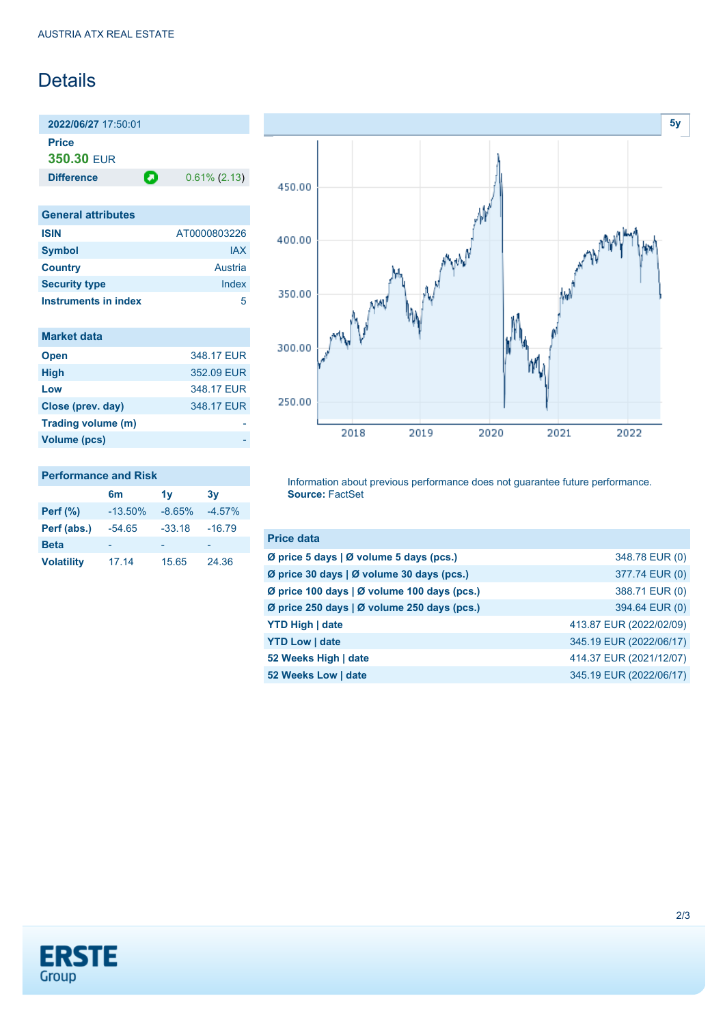## Details

**2022/06/27** 17:50:01 **Price**

**350.30** EUR

**Difference 0.61% (2.13)** 

| <b>General attributes</b> |              |
|---------------------------|--------------|
| <b>ISIN</b>               | AT0000803226 |
| <b>Symbol</b>             | <b>JAX</b>   |
| <b>Country</b>            | Austria      |
| <b>Security type</b>      | Index        |
| Instruments in index      |              |

| <b>Market data</b> |            |
|--------------------|------------|
| <b>Open</b>        | 348.17 EUR |
| <b>High</b>        | 352.09 EUR |
| Low                | 348.17 FUR |
| Close (prev. day)  | 348.17 EUR |
| Trading volume (m) |            |
| Volume (pcs)       |            |



## **Performance and Risk 6m 1y 3y**

| Perf $(\% )$      | $-13.50\%$ | $-8.65%$ | $-4.57%$ |
|-------------------|------------|----------|----------|
| Perf (abs.)       | $-54.65$   | $-33.18$ | $-16.79$ |
| <b>Beta</b>       | -          |          |          |
| <b>Volatility</b> | 17.14      | 15.65    | 24.36    |

Information about previous performance does not guarantee future performance. **Source:** FactSet

| <b>Price data</b>                           |                         |
|---------------------------------------------|-------------------------|
| Ø price 5 days   Ø volume 5 days (pcs.)     | 348.78 EUR (0)          |
| Ø price 30 days   Ø volume 30 days (pcs.)   | 377.74 EUR (0)          |
| Ø price 100 days   Ø volume 100 days (pcs.) | 388.71 EUR (0)          |
| Ø price 250 days   Ø volume 250 days (pcs.) | 394.64 EUR (0)          |
| <b>YTD High   date</b>                      | 413.87 EUR (2022/02/09) |
| <b>YTD Low   date</b>                       | 345.19 EUR (2022/06/17) |
| 52 Weeks High   date                        | 414.37 EUR (2021/12/07) |
| 52 Weeks Low   date                         | 345.19 EUR (2022/06/17) |